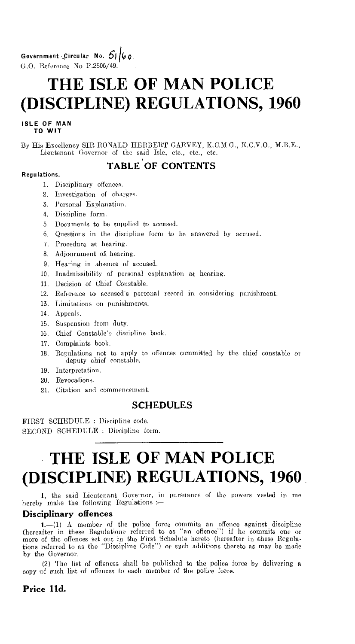Government \_Circular No. *611(p* 0, 0.0. Reference No P.2506/49.

# **THE ISLE OF MAN POLICE (DISCIPLINE) REGULATIONS, 1960**

#### **ISLE OF MAN TO WIT**

By His Excellency SIR RONALD HERBERT GARVEY, K.C.M.G., K.C.V.O., M.B.E., Lieutenant Governor of the said Isle, etc., etc., etc.

# **TABLE OF CONTENTS**

#### Regulations.

- 1. Disciplinary offences.
- 2. Investigation of charges.
- 3. Personal Explanation.
- 4. Discipline form.
- 5. Documents to be supplied to accused.
- 6. Questions in the discipline form to be answered by accused.
- 7. Procedure at hearing.
- 8. Adjournment of hearing.
- 9. Hearing in absence of accused.
- 10. Inadmissibility of personal explanation at hearing.
- 11. Decision of Chief Constable.
- 12. Reference to accused's personal record in considering punishment.
- 13. Limitations on punishments.
- 14. Appeals.
- 15. Suspension from duty.
- 16. Chief Constable's discipline book.
- 17. Complaints book.
- 18. Regulations not to apply to offences committed by the chief constable or deputy chief constable.
- 19. Interpretation.
- 20. Revocations.
- 21. Citation and commencement.

# **SCHEDULES**

FIRST SCHEDULE : Discipline code. SECOND SCHEDULE : Discipline form.

# **THE ISLE OF MAN POLICE (DISCIPLINE) REGULATIONS, 1960**

I, the said Lieutenant Governor, in pursuance of the powers vested in me hereby make the following Regulations :-

### Disciplinary **offences**

**1.**—(1) A member of the police force commits an offence against discipline (hereafter in these Regulations referred to as "an offence") if he commits one or more of the offences set out in the First Schedule hereto (hereafter in these Regula. tions referred to as the "Discipline Code") or such additions thereto as may be made by the Governor.

(2) The list of offences shall be published to the police force by delivering a copy of such list of offences to each member of the police force.

# **Price 11d.**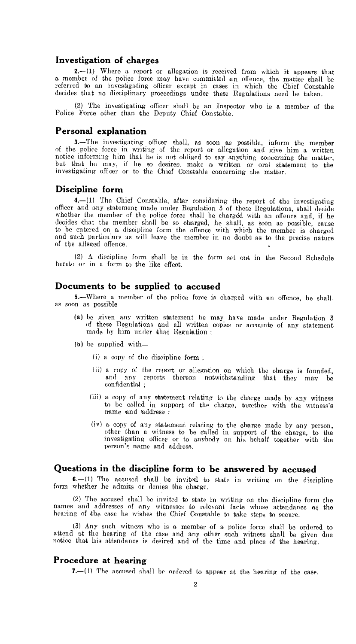#### **Investigation of charges**

2.—(1) Where a report or allegation is received from which it appears that a member of the police force may have committed an offence, the matter shall be referred to an investigating officer except in cases in which the Chief Constable decides that no disciplinary proceedings under these Regulations need be taken.

(2) The investigating officer shall be an Inspector who is a member of the Police Force other than the Deputy Chief Constable.

#### **Personal explanation**

3.—The investigating officer shall, as soon as possible, inform the member of the police force in writing of the report or allegation and give him a written notice informing him that he is not obliged to say anything concerning the matter, but that he may, if he so desires, make a written or oral statement to the investigating officer or to the Chief Constable concerning the matter.

#### **Discipline form**

4.—(1) The Chief Constable, after considering the report of the investigating officer and any statement made under Regulation 3 of there Regulations, shall decide whether the member of the police force shall be charged with an offence and, if he decides that the member shall be so charged, he shall, as soon as possible, cause to be entered on a, discipline form the offence with which the member is charged and such particulars as will leave the member in no doubt as to the precise nature of the alleged offence.

(2) A discipline form shall be in the form set out in the Second Schedule hereto or in a form to the like effect.

### **Documents to be supplied to accused**

5.—Where a member of the police force is charged with an offence, he shall, as soon as possible

- (a) be given any written statement he may have made under Regulation 3 of these Regulations and all written copies or accounts of any statement made by him under that Regulation
- (b) be supplied with—
	- (i) a copy of the discipline form ;
	- (ii) a copy of the report or allegation on which the charge is founded, and any reports thereon notwithstanding that they may he confidential ;
	- (iii) a copy of any statement relating to the charge made by any witness to be called in support of the charge, together with the witness's name and address ;
	- (iv) a copy of any statement relating to the charge made by any person, other than a witness to be called in support of the charge, to the investigating officer or to anybody on his behalf together with the person's name and address.

#### **Questions in the discipline form to be answered by accused**

6.—(1) The accused shall be invited to state in writing on the discipline form whether he admits or denies the charge.

(2) The accused shall be invited to state in writing on the discipline form the names and addresses of any witnesses to relevant facts whose attendance at the bearing of the case he wishes the Chief Constable to take steps to secure.

(3) Any such witness who is a member of a police force shall be ordered to attend at the hearing of the case and any other such witness shall be given due notice that his attendance is desired and of the time and place of the hearing.

#### **Procedure at hearing**

7.—(1) The accused shall be ordered to appear at the hearing of the case.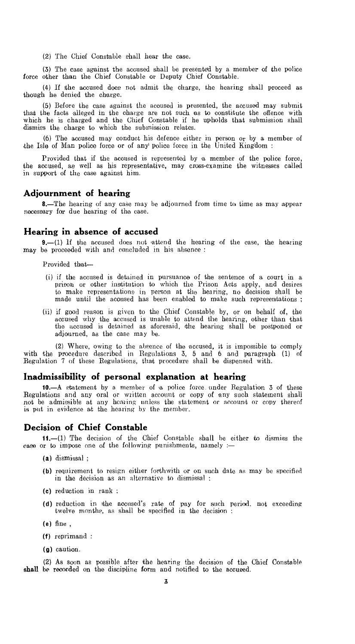(2) The Chief Constable shall hear the case.

(3) The case against the accused shall be presented by a member of the police force other than the Chief Constable or Deputy Chief Constable.

(4) If the accused does not admit the charge, the hearing shall proceed as though he denied the charge.

(5) Before the case against the accused is presented, the accused may submit that the facts alleged in the charge are not such as to constitute the offence with which he is charged and the Chief Constable if he upholds that submission shall dismiss the charge to which the submission rebates.

(6) The accused may conduct his defence either in person or by a member of the Isle of Man police force or of any police force in the United Kingdom :

Provided that if the accused is represented by a member of the police force, the accused, as well as his representative, may cross-examine the witnesses called in support of the case against him.

#### **Adjournment of hearing**

**8.—The** hearing of any case may be adjourned from time to time as may appear necessary for due hearing of the case.

## **Hearing in absence of accused**

**9.—(1)** if the accused does not attend the hearing of the case, the hearing may be proceeded with and concluded in his absence :

Provided that—

- (i) if the accused is detained in pursuance of the sentence of a court in a prison or other institution to which the Prison Acts apply, and desires to make representations in person at the hearing, no decision shall be made until the accused has been enabled to make such representations ;
- (ii) if good reason is given to the Chief Constable by, or on behalf of, the accused why the accused is unable to attend the hearing, other than that the accused is detained as aforesaid, the hearing shall be postponed or adjourned, as the case may be.

(2) Where, owing to the absence of the accused, it is impossible to comply with the procedure described in Regulations 3, 5 and 6 and paragraph (1) of Regulation 7 of these Regulations, that procedure shall be dispensed with.

#### **Inadmissibility of personal explanation at hearing**

**10.—A** statement by a member of a police force\_ under Regulation 3 of these Regulations and any oral or written account or copy of any such statement shall not be admissible at any hearing unless the statement or account or copy thereof is put in evidence at the hearing by the member.

#### **Decision of Chief Constable**

**11.—(1)** The decision of the Chief Constable shall be either to dismiss the case or to impose one of the following punishments, namely :-

- (a) dismissal
- (b) requirement to resign either forthwith or on such date as may be specified in the decision as an alternative to dismissal :
- (c) reduction in rank ;
- (d) reduction in the accused's rate of pay for such period, not exceeding twelve months, as shall be specified in the decision ;
- (e) fine ,
- (f) reprimand :
- (g) caution.

(2) As soon as possible after the hearing the decision of the Chief Constable shall be recorded on the discipline form and notified to the accused.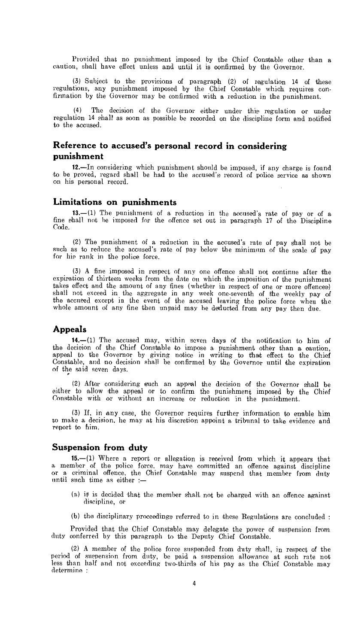Provided that no punishment imposed by the Chief Constable other than a caution, shall have effect unless and until it is confirmed by the Governor.

(3) Subject to the provisions of paragraph (2) of regulation 14 of these regulations, any punishment imposed by the Chief Constable which requires confirmation by the Governor may be confirmed with a reduction in the punishment.

(4) The decision of the Governor either under this regulation or under regulation 14 shall as soon as possible be recorded on the discipline form and notified to the accused.

## **Reference to accused's personal record in considering punishment**

**12.—In** considering which punishment should be imposed, if any charge is found to be proved, regard shall be had to the accused's record of police service as shown on his personal record.

#### **Limitations on punishments**

**13.**—(1) The punishment of a reduction in the accused's rate of pay or of a. fine ehall not be imposed for the offence set out in paragraph **17** of the Discipline Code.

(2) The punishment of a reduction in the accused's rate of pay shall not be such as to reduce the accused's rate of pay below the minimum of the scale of pay for his rank in the police force.

(3) A fine imposed in respect of any one offence shall not continue after the expiration of thirteen weeks from the date on which the imposition of the punishment takes effect and the amount of any fines (whether in respect of one or more offences) shall not exceed in the aggregate in any week one-seventh of the weekly pay of the accused except in the event of the accused leaving the police force when the whole amount of any fine then unpaid may he deducted from any pay then due.

#### **Appeals**

14.—1) The accused may, within seven days of the notification to him of the decision of the Chief Constable to impose a punishment other than a caution, appeal to the Governor by giving notice in writing to that effect to Constable, and no decision shall he confirmed by the Governor until the expiration of the said seven days.

(2) After considering such an appeal the decision of the Governor shall be either to allow the appeal or to confirm the punishment imposed by the Chief Constable with or without an increase or reduction in the punishment.

(3) If, in any case, the Governor requires further information to enable him to make a decision, he may at his discretion appoint a tribunal to take evidence and report to him.

#### **Suspension from duty**

**15.—(1)** Where a report or allegation is received from which it appears that a member of the police force, may have committed an offence against discipline or a criminal offence, the Chief Constable may suspend that member from duty until such time as either :—

- (a) it is decided that the member shall not be charged with an offence against discipline, or
- (b) the disciplinary proceedings referred to in these Regulations are concluded :

Provided that the Chief Constable may delegate the power of suspension from duty conferred by this paragraph to the Deputy Chief Constable.

(2) A member of the police force suspended from duty shall, in respect of the period of suspension from duty, be paid a suspension allowance at such rate not less than half and not exceeding two-thirds of his pay as the Chief Constable may determine :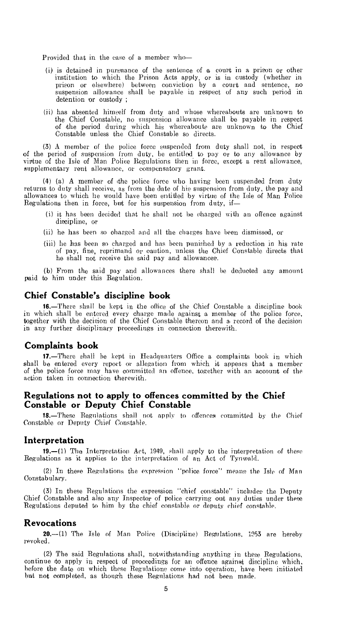Provided that in the case of a member who—

- (i) is detained in pursuance of the sentence of a court in a prison or other institution to which the Prison Acts apply, or is in custody (whether in prison or elsewhere) between conviction by a court and sentence, no suspension allowance shall be payable in respect of any such period in detention or custody ;
- (ii) has absented himself from duty and whose whereabouts are unknown to the Chief Constable, no suspension allowance shall be payable in respect of the period during which his whereabouts are unknown to the Chief Constable unless the Chief Constable so directs.

(3) A member of the police force suspended from duty shall not, in respect of the period of suspension from duty, be entitled to pay or to any allowance by virtue of the Isle of Man Police Regulations then in force, except a rent allowance, supplementary rent allowance, or compensatory grant.

(4) (a) A member of the police force who having been suspended from duty returns to duty shall receive, as from the date of his suspension from duty, the pay and allowances to which he would have been entitled by virtue of the Isle of Man Police Regulations then in force, but for his suspension from duty, if—

- (i) it has been decided that he shall not be charged with an offence against discipline, or
- (ii) he has been so charged and all the charges have been dismissed, or
- (iii) he has been so charged and has been punished by a. reduction in his rate of pay, fine, reprimand or caution, unless the Chief Constable directs that he shall not receive the said pay and allowances.

(b) From the said pay and allowances there shall be deducted any amount paid to him under this Regulation.

#### **Chief Constable's discipline book**

**16.—There** shall be kept in the office of the Chief Constable a discipline book in which shall be entered every charge made against a member of the police force, together with the decision of the Chief Constable thereon and a. record of the decision in any further disciplinary proceedings in connection therewith.

#### **Complaints book**

**17.—There** shall he kept in Headquarters Office a complaints book in which shall be entered every report or allegation from which it appears that a member of the police force may have committed an offence, together with an account of the action taken in connection therewith.

## **Regulations not to apply to offences committed by the Chief Constable or Deputy Chief Constable**

**18.—These.** Regulations shall not apply to offences committed by the Chief Constable or Deputy Chief Constable.

#### **Interpretation**

**19.—(1)** The Interpretation Act, 1949, shall apply to the interpretation of these Regulations as it applies to the interpretation of an Act of Tynwald.

(2) In these Regulations the expression "police force" means the Isle of Man Constabulary.

(3) In these Regulations the expression "chief constable" includes the Deputy Chief Constable and also any Inspector of police carrying out any duties under these Regulations deputed to him by the chief constable or deputy chief constable.

#### **Revocations**

20.-(1) The Isle of Man Police (Discipline) Regulations, 1953 are hereby revoked.

(2) The said Regulations shall, notwithstanding anything in these Regulations, continue to apply in respect of proceedings for an offence against discipline which, before the date on which these Regulations come into operation, have been initiated but not completed, as though these Regulations had not been made.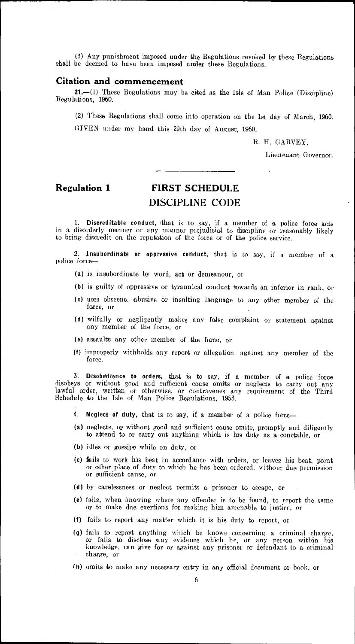(3) Any punishment imposed under the Regulations revoked by these Regulations shall be deemed to have been imposed under these Regulations.

#### **Citation and commencement**

21.—(1) These Regulations may be cited as the Isle of Man Police (Discipline) Regulations, 1960.

(2) These Regulations shall come into operation on the 1st day of March, 1960.

GIVEN under my hand this 29th day of August, 1960.

R. H. GARVEY,

Lieutenant Governor.

# **Regulation 1 FIRST SCHEDULE**  DISCIPLINE CODE

1. Discreditable conduct, that is to say, if a member of a police force acts in a disorderly manner or any manner prejudicial to discipline or reasonably likely to bring discredit on the reputation of the force or of the police service.

2. Insubordinate or oppressive conduct, that is to say, if a member of a police force—

- (a) is insubordinate by word, act or demeanour, or
- (b) is guilty of oppressive or tyrannical conduct towards an inferior in rank, or
- (c) uses obscene, abusive or insulting language to any other member of the force, or
- (d) wilfully or negligently makes any false complaint or statement against any member of the force, or
- (e) assaults any other member of the force, or
- (f) improperly withholds any report or allegation against any member of the force.

3. Disobedience to orders, that is to say, if a member of a police force disobeys or without good and sufficient cause omits or neglects to carry out any lawful order, written or otherwise, or contravenes any requirement of the Third Schedule to the Isle of Man Police Regulations, 1953.

- 4. Neglect of duty, that is to say, if a member of a police force—
- (a) neglects, or without good and sufficient cause omits, promptly and diligently to attend to or carry out anything which is his duty as a constable, or
- (b) idles or gossips while on duty, or
- (c) fails to work his beat in accordance with orders, or leaves his beat, point or other place of duty to which he has been ordered, without due permission or sufficient cause, or
- (d) by carelessness or neglect permits a prisoner to escape, or -
- (e) fails, when knowing where any offender is to be found, to report the same or to make due exertions for making him amenable to justice, or
- (f) fails to report -any matter which it is his duty to report, or
- (g) fails to report anything which he knows concerning a criminal charge, or fails to disclose any evidence which he, or any person within his knowledge, can give for or against any prisoner or defendant to a criminal charge, or
- (h) omits to make any necessary entry in any official document or book, or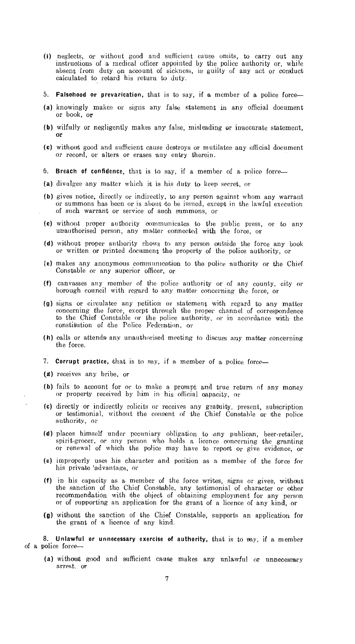- (i) neglects, or without good and sufficient cause omits, to carry out any instructions of a medical officer appointed by the police authority or, while absent from duty on account of sickness, is guilty of any act or conduct calculated to retard his return to duty.
- 5. Falsehood or prevarication, that is to say, if a member of a police force—
- (a) knowingly makes or signs any false statement in any official document or book, or
- (b) wilfully or negligently makes any false, misleading or inaccurate statement, Or
- (c) without good and sufficient cause destroys or mutilates any official document or record, or alters or erases any entry therein.
- 6. Breach of confidence, that is to say, if a member of a police force—
- (a) divulges any matter which it is his duty to keep secret, or
- (b) gives notice, directly or indirectly, to any person against whom any warrant or summons has been or is about to be issued, except in the lawful execution of such warrant or service of such summons, or
- (c) without proper authority communicates to the public press, or to any unauthorised person, any matter connected with the force, or
- (d) without proper authority shows to any person outside the force any book or written or printed document the property of the police authority, or
- (e) makes any anonymous communication to the police authority or the Chief Constable or any superior officer, or
- (f) canvasses any member of the police authority or of any county, city or borough council with regard to any matter concerning the force, or
- (g) signs or circulates any petition or statement with regard to any matter concerning the force, except through the proper channel of correspondence to the Chief Constable or the police authority, or in accordance with the constitution of the Police Federation, or
- (h) calls or attends any unauthorised meeting to discuss any matter concerning the force.

7. Corrupt practice, that is to say, if a member of a police force-

- (A) receives any bribe, or
- (b) fails to account for or to make a- prompt and true return of any money or property received by him in his official capacity, or
- (c) directly or indirectly solicits or receives any gratuity. present, subscription or testimonial, without the consent of the Chief Constable or the police authority, or
- (d) places himself under pecuniary obligation to any publican, beer-retailer, spirit-grocer, or any person who holds a licence concerning the granting or renewal of which the police may have to report or give evidence, or
- (e) improperly uses his character and position as a member of the force for his private 'advantage, or
- (f) in his capacity as a member of the force writes, signs or gives, without the sanction of the Chief Constable, any testimonial of character or other recommendation with the object of obtaining employment for any person or of supporting an application for the grant of a licence of any kind, or
- (g) without the sanction of the Chief Constable, supports an application for the grant of a licence of any kind.
- 8. Unlawful or unnecessary exercise of authority, that is to say, if a member of a police force—
	- (a) without good and sufficient cause makes any unlawful or unnecessary arrest. or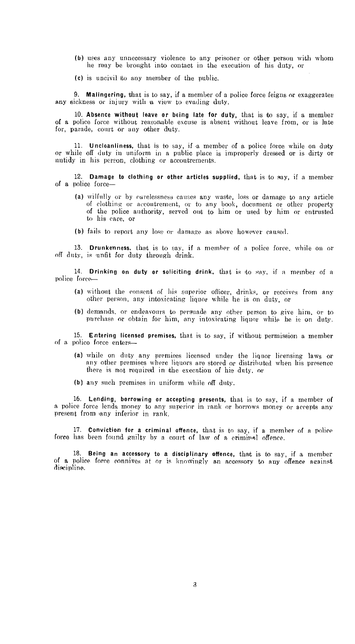- (b) uses any unnecessary violence to any prisoner or other person with whom he may be brought into contact in the execution of his duty, or
- (c) is uncivil to any member of the public.

9. Malingering, that is to say, if a member of a police force feigns or exaggerates any sickness or injury with a view to evading duty.

10. Absence without leave or being late for duty, that is to say, if a member of a police force without reasonable excuse is absent without leave from, or is late for, parade, court or any other duty.

11. Uncleanliness, that is to say, if a. member of a police force while on duty or while off duty in uniform in a public place is improperly dressed or is dirty or untidy in his person, clothing or accoutrements.

12. Damage to clothing or other articles supplied, that is to say, if a member of a police force—

- (a) wilfully or by carelessness causes any waste, loss or damage to any article of clothing or accoutrement, or to any book, document or other property of the police authority, served out to him or used by him or entrusted to his care, or
- (b) fails to report any loss or damage as above however caused.

13. Drunkenness, that is to say, if a member of a police force, while on or off duty, is unfit for duty through drink.

14. Drinking on duty or soliciting drink, that is to say, if a member of a police force—

- (a) without the consent of his superior officer, drinks, or receives from any other person, any intoxicating liquor while he is on duty, or
- (b) demands. or endeavours to persuade any other person to give him, or to purchase or obtain for him, any intoxicating liquor while he is on duty.

15. Entering licensed premises, that is to say, if without permission a member of a polico force enters-

- (a) while on duty any premises licensed under the liquor licensing laws or any other premises where liquors are stored or distributed when his presence there is not required in the execution of his duty, or
- (b) any such premises in uniform while off duty.

16. Lending, borrowing or accepting presents, that is to say, if a member of a. police force lends money to any superior in rank or borrows money or accepts any present from any inferior in rank.

17. Conviction for a criminal offence, that is to say, if a member of a police force has been found guilty by a court of law of a criminal offence.

18. Being an accessory to a disciplinary offence, that is to say, if a member of a police force connives at or is knowingly an accessory to any offence against discipline.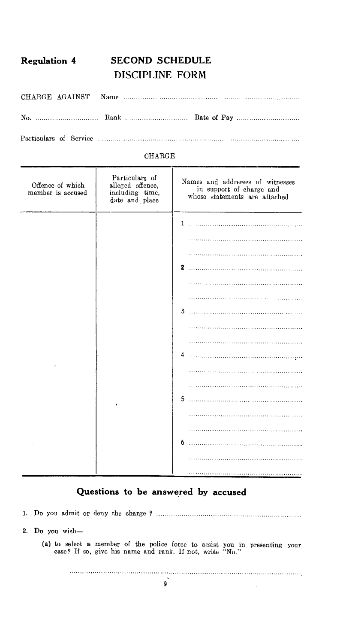| <b>Regulation 4</b> | <b>SECOND SCHEDULE</b> |
|---------------------|------------------------|
|                     | DISCIPLINE FORM        |

| CHARGE AGAINST | Name |  |
|----------------|------|--|
|                |      |  |

No. Rank Rate of Pay

Particulars of Service

# CHARGE

| Offence of which<br>member is accused | Particulars of<br>alleged offence,<br>including time,<br>date and place | Names and addresses of witnesses<br>in support of charge and<br>whose statements are attached |
|---------------------------------------|-------------------------------------------------------------------------|-----------------------------------------------------------------------------------------------|
|                                       |                                                                         |                                                                                               |
|                                       |                                                                         |                                                                                               |
|                                       |                                                                         |                                                                                               |
|                                       |                                                                         |                                                                                               |
|                                       |                                                                         |                                                                                               |
|                                       |                                                                         |                                                                                               |
|                                       |                                                                         |                                                                                               |
|                                       |                                                                         |                                                                                               |
|                                       |                                                                         |                                                                                               |
|                                       |                                                                         | 4                                                                                             |
|                                       |                                                                         | .                                                                                             |
|                                       |                                                                         |                                                                                               |
|                                       |                                                                         | 5                                                                                             |
|                                       |                                                                         |                                                                                               |
|                                       |                                                                         |                                                                                               |
|                                       |                                                                         | 6                                                                                             |
|                                       |                                                                         |                                                                                               |
|                                       |                                                                         |                                                                                               |

# **Questions to be answered by accused**

1. Do you admit or deny the charge ?

- 2. Do you wish—
	- (a) to select a member of the police force to assist you in presenting your case? If so, give his name and rank. If not, write "No."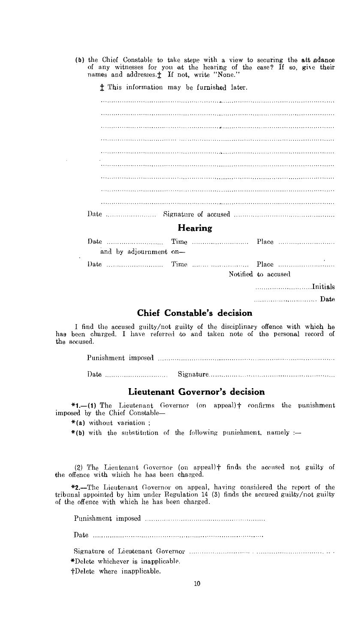(b) the Chief Constable to take steps with a view to securing the att ndance of any witnesses for you at the hearing of the case? If so, giie their names and addresses.± If not, write "None."

This information may be furnished later.

Date Signature of accused **Hearing**  Date Time Place and by adjournment on— Date Time Place Notified to accused ...........................Initials Date

## **Chief Constable's decision**

I find the accused guilty/not guilty of the disciplinary offence with which he has been charged. I have referred to and taken note of the personal record of the accused.

Punishment imposed

Date (1) Signature (1) Signature (1) Signature (1) Signature (1) Signature (1) Signature (1) Signature (1) Signature (1) Signature (1) Signature (1) Signature (1) Signature (1) Signature (1) Signature (1) Signature (1) Sig

#### **Lieutenant Governor's decision**

\*1.-(1) The Lieutenant Governor (on appeal)<sup>+</sup> confirms the punishment imposed by the Chief Constable—

\*(a) without variation ;

 $*(b)$  with the substitution of the following punishment, namely :-

(2) The Lieutenant Governor (on appeal) finds the accused not guilty of the offence with which he has been charged.

\*2.—The Lieutenant Governor on appeal, having considered the report of the tribunal appointed by him under Regulation 14 (3) finds the accused guilty/not guilty of the offence with which he has been charged.

Punishment imposed

Date

| *Delete whichever is inapplicable. |  |
|------------------------------------|--|
| +Delete where inapplicable.        |  |